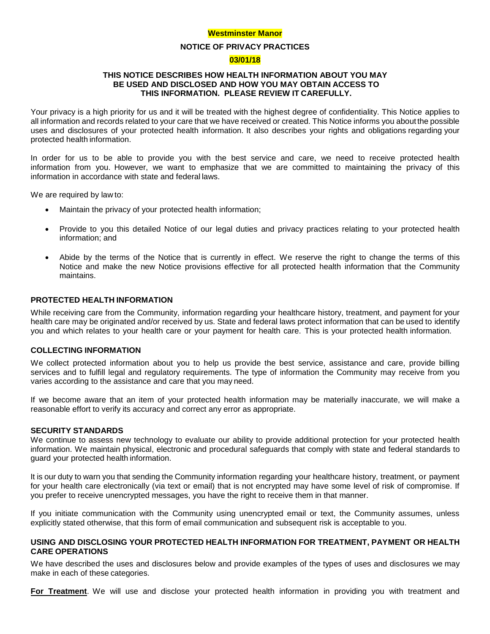### **Westminster Manor**

### **NOTICE OF PRIVACY PRACTICES**

### **03/01/18**

# **THIS NOTICE DESCRIBES HOW HEALTH INFORMATION ABOUT YOU MAY BE USED AND DISCLOSED AND HOW YOU MAY OBTAIN ACCESS TO THIS INFORMATION. PLEASE REVIEW IT CAREFULLY.**

Your privacy is a high priority for us and it will be treated with the highest degree of confidentiality. This Notice applies to all information and records related to your care that we have received or created. This Notice informs you about the possible uses and disclosures of your protected health information. It also describes your rights and obligations regarding your protected health information.

In order for us to be able to provide you with the best service and care, we need to receive protected health information from you. However, we want to emphasize that we are committed to maintaining the privacy of this information in accordance with state and federal laws.

We are required by law to:

- Maintain the privacy of your protected health information;
- Provide to you this detailed Notice of our legal duties and privacy practices relating to your protected health information; and
- Abide by the terms of the Notice that is currently in effect. We reserve the right to change the terms of this Notice and make the new Notice provisions effective for all protected health information that the Community maintains.

# **PROTECTED HEALTH INFORMATION**

While receiving care from the Community, information regarding your healthcare history, treatment, and payment for your health care may be originated and/or received by us. State and federal laws protect information that can be used to identify you and which relates to your health care or your payment for health care. This is your protected health information.

### **COLLECTING INFORMATION**

We collect protected information about you to help us provide the best service, assistance and care, provide billing services and to fulfill legal and regulatory requirements. The type of information the Community may receive from you varies according to the assistance and care that you may need.

If we become aware that an item of your protected health information may be materially inaccurate, we will make a reasonable effort to verify its accuracy and correct any error as appropriate.

### **SECURITY STANDARDS**

We continue to assess new technology to evaluate our ability to provide additional protection for your protected health information. We maintain physical, electronic and procedural safeguards that comply with state and federal standards to guard your protected health information.

It is our duty to warn you that sending the Community information regarding your healthcare history, treatment, or payment for your health care electronically (via text or email) that is not encrypted may have some level of risk of compromise. If you prefer to receive unencrypted messages, you have the right to receive them in that manner.

If you initiate communication with the Community using unencrypted email or text, the Community assumes, unless explicitly stated otherwise, that this form of email communication and subsequent risk is acceptable to you.

## **USING AND DISCLOSING YOUR PROTECTED HEALTH INFORMATION FOR TREATMENT, PAYMENT OR HEALTH CARE OPERATIONS**

We have described the uses and disclosures below and provide examples of the types of uses and disclosures we may make in each of these categories.

**For Treatment**. We will use and disclose your protected health information in providing you with treatment and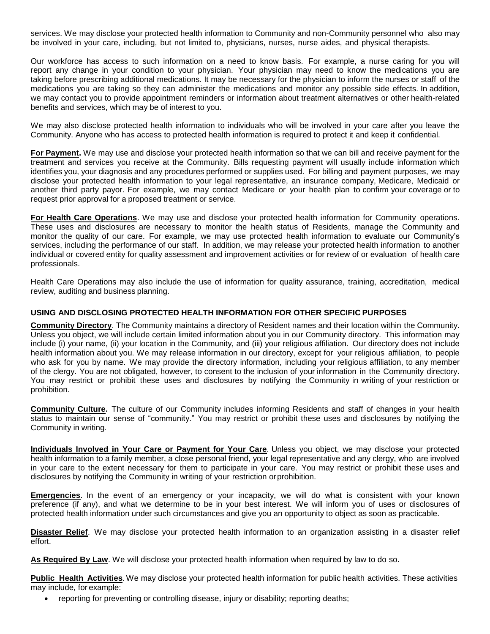services. We may disclose your protected health information to Community and non-Community personnel who also may be involved in your care, including, but not limited to, physicians, nurses, nurse aides, and physical therapists.

Our workforce has access to such information on a need to know basis. For example, a nurse caring for you will report any change in your condition to your physician. Your physician may need to know the medications you are taking before prescribing additional medications. It may be necessary for the physician to inform the nurses or staff of the medications you are taking so they can administer the medications and monitor any possible side effects. In addition, we may contact you to provide appointment reminders or information about treatment alternatives or other health-related benefits and services, which may be of interest to you.

We may also disclose protected health information to individuals who will be involved in your care after you leave the Community. Anyone who has access to protected health information is required to protect it and keep it confidential.

**For Payment.** We may use and disclose your protected health information so that we can bill and receive payment for the treatment and services you receive at the Community. Bills requesting payment will usually include information which identifies you, your diagnosis and any procedures performed or supplies used. For billing and payment purposes, we may disclose your protected health information to your legal representative, an insurance company, Medicare, Medicaid or another third party payor. For example, we may contact Medicare or your health plan to confirm your coverage or to request prior approval for a proposed treatment or service.

**For Health Care Operations**. We may use and disclose your protected health information for Community operations. These uses and disclosures are necessary to monitor the health status of Residents, manage the Community and monitor the quality of our care. For example, we may use protected health information to evaluate our Community's services, including the performance of our staff. In addition, we may release your protected health information to another individual or covered entity for quality assessment and improvement activities or for review of or evaluation of health care professionals.

Health Care Operations may also include the use of information for quality assurance, training, accreditation, medical review, auditing and business planning.

# **USING AND DISCLOSING PROTECTED HEALTH INFORMATION FOR OTHER SPECIFIC PURPOSES**

**Community Directory**. The Community maintains a directory of Resident names and their location within the Community. Unless you object, we will include certain limited information about you in our Community directory. This information may include (i) your name, (ii) your location in the Community, and (iii) your religious affiliation. Our directory does not include health information about you. We may release information in our directory, except for your religious affiliation, to people who ask for you by name. We may provide the directory information, including your religious affiliation, to any member of the clergy. You are not obligated, however, to consent to the inclusion of your information in the Community directory. You may restrict or prohibit these uses and disclosures by notifying the Community in writing of your restriction or prohibition.

**Community Culture.** The culture of our Community includes informing Residents and staff of changes in your health status to maintain our sense of "community." You may restrict or prohibit these uses and disclosures by notifying the Community in writing.

**Individuals Involved in Your Care or Payment for Your Care**. Unless you object, we may disclose your protected health information to a family member, a close personal friend, your legal representative and any clergy, who are involved in your care to the extent necessary for them to participate in your care. You may restrict or prohibit these uses and disclosures by notifying the Community in writing of your restriction orprohibition.

**Emergencies**. In the event of an emergency or your incapacity, we will do what is consistent with your known preference (if any), and what we determine to be in your best interest. We will inform you of uses or disclosures of protected health information under such circumstances and give you an opportunity to object as soon as practicable.

**Disaster Relief**. We may disclose your protected health information to an organization assisting in a disaster relief effort.

As Required By Law. We will disclose your protected health information when required by law to do so.

**Public Health Activities**.We may disclose your protected health information for public health activities. These activities may include, for example:

• reporting for preventing or controlling disease, injury or disability; reporting deaths;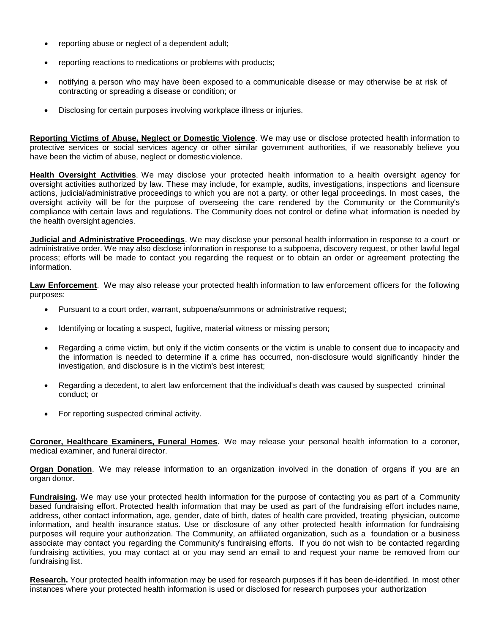- reporting abuse or neglect of a dependent adult;
- reporting reactions to medications or problems with products;
- notifying a person who may have been exposed to a communicable disease or may otherwise be at risk of contracting or spreading a disease or condition; or
- Disclosing for certain purposes involving workplace illness or injuries.

**Reporting Victims of Abuse, Neglect or Domestic Violence**. We may use or disclose protected health information to protective services or social services agency or other similar government authorities, if we reasonably believe you have been the victim of abuse, neglect or domestic violence.

**Health Oversight Activities**. We may disclose your protected health information to a health oversight agency for oversight activities authorized by law. These may include, for example, audits, investigations, inspections and licensure actions, judicial/administrative proceedings to which you are not a party, or other legal proceedings. In most cases, the oversight activity will be for the purpose of overseeing the care rendered by the Community or the Community's compliance with certain laws and regulations. The Community does not control or define what information is needed by the health oversight agencies.

**Judicial and Administrative Proceedings**. We may disclose your personal health information in response to a court or administrative order. We may also disclose information in response to a subpoena, discovery request, or other lawful legal process; efforts will be made to contact you regarding the request or to obtain an order or agreement protecting the information.

**Law Enforcement**. We may also release your protected health information to law enforcement officers for the following purposes:

- Pursuant to a court order, warrant, subpoena/summons or administrative request;
- Identifying or locating a suspect, fugitive, material witness or missing person;
- Regarding a crime victim, but only if the victim consents or the victim is unable to consent due to incapacity and the information is needed to determine if a crime has occurred, non-disclosure would significantly hinder the investigation, and disclosure is in the victim's best interest;
- Regarding a decedent, to alert law enforcement that the individual's death was caused by suspected criminal conduct; or
- For reporting suspected criminal activity.

**Coroner, Healthcare Examiners, Funeral Homes**. We may release your personal health information to a coroner, medical examiner, and funeral director.

**Organ Donation**. We may release information to an organization involved in the donation of organs if you are an organ donor.

**Fundraising.** We may use your protected health information for the purpose of contacting you as part of a Community based fundraising effort. Protected health information that may be used as part of the fundraising effort includes name, address, other contact information, age, gender, date of birth, dates of health care provided, treating physician, outcome information, and health insurance status. Use or disclosure of any other protected health information for fundraising purposes will require your authorization. The Community, an affiliated organization, such as a foundation or a business associate may contact you regarding the Community's fundraising efforts. If you do not wish to be contacted regarding fundraising activities, you may contact at or you may send an email to and request your name be removed from our fundraising list.

**Research.** Your protected health information may be used for research purposes if it has been de-identified. In most other instances where your protected health information is used or disclosed for research purposes your authorization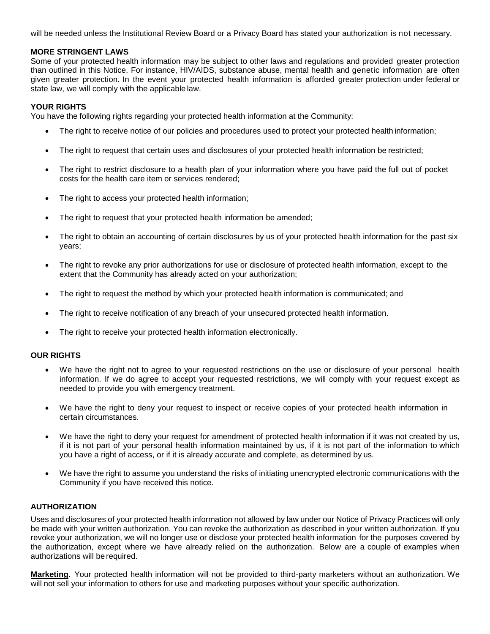will be needed unless the Institutional Review Board or a Privacy Board has stated your authorization is not necessary.

# **MORE STRINGENT LAWS**

Some of your protected health information may be subject to other laws and regulations and provided greater protection than outlined in this Notice. For instance, HIV/AIDS, substance abuse, mental health and genetic information are often given greater protection. In the event your protected health information is afforded greater protection under federal or state law, we will comply with the applicable law.

# **YOUR RIGHTS**

You have the following rights regarding your protected health information at the Community:

- The right to receive notice of our policies and procedures used to protect your protected health information;
- The right to request that certain uses and disclosures of your protected health information be restricted;
- The right to restrict disclosure to a health plan of your information where you have paid the full out of pocket costs for the health care item or services rendered;
- The right to access your protected health information;
- The right to request that your protected health information be amended;
- The right to obtain an accounting of certain disclosures by us of your protected health information for the past six years;
- The right to revoke any prior authorizations for use or disclosure of protected health information, except to the extent that the Community has already acted on your authorization;
- The right to request the method by which your protected health information is communicated; and
- The right to receive notification of any breach of your unsecured protected health information.
- The right to receive your protected health information electronically.

# **OUR RIGHTS**

- We have the right not to agree to your requested restrictions on the use or disclosure of your personal health information. If we do agree to accept your requested restrictions, we will comply with your request except as needed to provide you with emergency treatment.
- We have the right to deny your request to inspect or receive copies of your protected health information in certain circumstances.
- We have the right to deny your request for amendment of protected health information if it was not created by us, if it is not part of your personal health information maintained by us, if it is not part of the information to which you have a right of access, or if it is already accurate and complete, as determined by us.
- We have the right to assume you understand the risks of initiating unencrypted electronic communications with the Community if you have received this notice.

# **AUTHORIZATION**

Uses and disclosures of your protected health information not allowed by law under our Notice of Privacy Practices will only be made with your written authorization. You can revoke the authorization as described in your written authorization. If you revoke your authorization, we will no longer use or disclose your protected health information for the purposes covered by the authorization, except where we have already relied on the authorization. Below are a couple of examples when authorizations will be required.

**Marketing**. Your protected health information will not be provided to third-party marketers without an authorization. We will not sell your information to others for use and marketing purposes without your specific authorization.